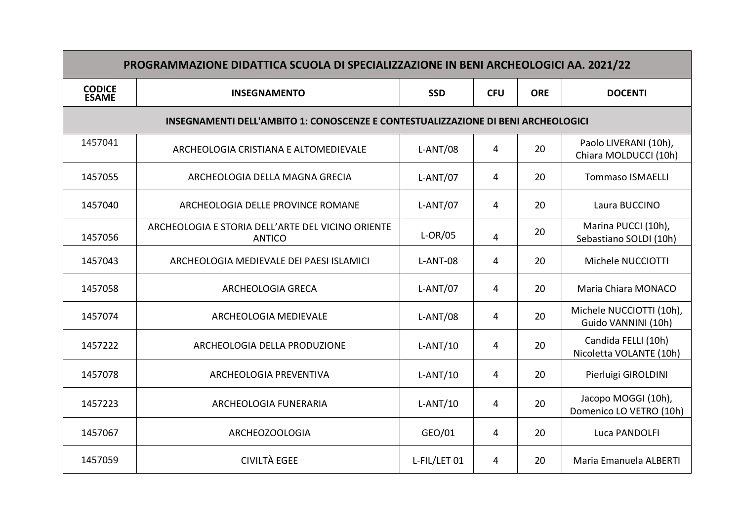| PROGRAMMAZIONE DIDATTICA SCUOLA DI SPECIALIZZAZIONE IN BENI ARCHEOLOGICI AA. 2021/22 |                                                                    |              |                |            |                                                 |  |  |  |
|--------------------------------------------------------------------------------------|--------------------------------------------------------------------|--------------|----------------|------------|-------------------------------------------------|--|--|--|
| <b>CODICE</b><br>ESAME                                                               | <b>INSEGNAMENTO</b>                                                | <b>SSD</b>   | <b>CFU</b>     | <b>ORE</b> | <b>DOCENTI</b>                                  |  |  |  |
| INSEGNAMENTI DELL'AMBITO 1: CONOSCENZE E CONTESTUALIZZAZIONE DI BENI ARCHEOLOGICI    |                                                                    |              |                |            |                                                 |  |  |  |
| 1457041                                                                              | ARCHEOLOGIA CRISTIANA E ALTOMEDIEVALE                              | $L-ANT/08$   | 4              | 20         | Paolo LIVERANI (10h),<br>Chiara MOLDUCCI (10h)  |  |  |  |
| 1457055                                                                              | ARCHEOLOGIA DELLA MAGNA GRECIA                                     | $L-ANT/07$   | 4              | 20         | <b>Tommaso ISMAELLI</b>                         |  |  |  |
| 1457040                                                                              | ARCHEOLOGIA DELLE PROVINCE ROMANE                                  | $L-ANT/07$   | 4              | 20         | Laura BUCCINO                                   |  |  |  |
| 1457056                                                                              | ARCHEOLOGIA E STORIA DELL'ARTE DEL VICINO ORIENTE<br><b>ANTICO</b> | $L-OR/05$    | $\overline{4}$ | 20         | Marina PUCCI (10h),<br>Sebastiano SOLDI (10h)   |  |  |  |
| 1457043                                                                              | ARCHEOLOGIA MEDIEVALE DEI PAESI ISLAMICI                           | L-ANT-08     | $\overline{4}$ | 20         | Michele NUCCIOTTI                               |  |  |  |
| 1457058                                                                              | <b>ARCHEOLOGIA GRECA</b>                                           | $L-ANT/07$   | 4              | 20         | Maria Chiara MONACO                             |  |  |  |
| 1457074                                                                              | ARCHEOLOGIA MEDIEVALE                                              | $L-ANT/08$   | $\overline{4}$ | 20         | Michele NUCCIOTTI (10h),<br>Guido VANNINI (10h) |  |  |  |
| 1457222                                                                              | ARCHEOLOGIA DELLA PRODUZIONE                                       | $L-ANT/10$   | 4              | 20         | Candida FELLI (10h)<br>Nicoletta VOLANTE (10h)  |  |  |  |
| 1457078                                                                              | ARCHEOLOGIA PREVENTIVA                                             | $L-ANT/10$   | 4              | 20         | Pierluigi GIROLDINI                             |  |  |  |
| 1457223                                                                              | ARCHEOLOGIA FUNERARIA                                              | $L-ANT/10$   | $\overline{4}$ | 20         | Jacopo MOGGI (10h),<br>Domenico LO VETRO (10h)  |  |  |  |
| 1457067                                                                              | ARCHEOZOOLOGIA                                                     | GEO/01       | $\overline{4}$ | 20         | Luca PANDOLFI                                   |  |  |  |
| 1457059                                                                              | <b>CIVILTÀ EGEE</b>                                                | L-FIL/LET 01 | 4              | 20         | Maria Emanuela ALBERTI                          |  |  |  |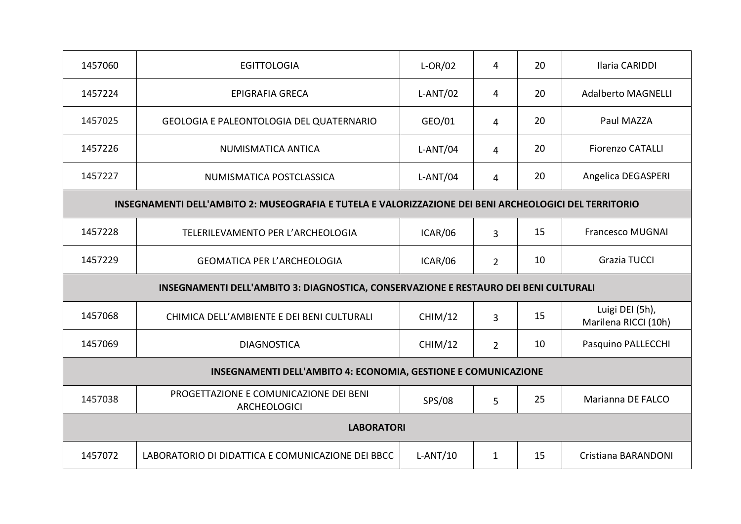| 1457060                                                                                                | <b>EGITTOLOGIA</b>                                            | $L-OR/02$      | $\overline{4}$ | 20 | Ilaria CARIDDI                          |  |
|--------------------------------------------------------------------------------------------------------|---------------------------------------------------------------|----------------|----------------|----|-----------------------------------------|--|
| 1457224                                                                                                | EPIGRAFIA GRECA                                               | $L-ANT/02$     | 4              | 20 | <b>Adalberto MAGNELLI</b>               |  |
| 1457025                                                                                                | <b>GEOLOGIA E PALEONTOLOGIA DEL QUATERNARIO</b>               | GEO/01         | $\overline{4}$ | 20 | Paul MAZZA                              |  |
| 1457226                                                                                                | NUMISMATICA ANTICA                                            | $L-ANT/04$     | $\overline{4}$ | 20 | <b>Fiorenzo CATALLI</b>                 |  |
| 1457227                                                                                                | NUMISMATICA POSTCLASSICA                                      | $L-ANT/04$     | $\overline{4}$ | 20 | Angelica DEGASPERI                      |  |
| INSEGNAMENTI DELL'AMBITO 2: MUSEOGRAFIA E TUTELA E VALORIZZAZIONE DEI BENI ARCHEOLOGICI DEL TERRITORIO |                                                               |                |                |    |                                         |  |
| 1457228                                                                                                | TELERILEVAMENTO PER L'ARCHEOLOGIA                             | ICAR/06        | 3              | 15 | <b>Francesco MUGNAI</b>                 |  |
| 1457229                                                                                                | <b>GEOMATICA PER L'ARCHEOLOGIA</b>                            | ICAR/06        | $\overline{2}$ | 10 | Grazia TUCCI                            |  |
| INSEGNAMENTI DELL'AMBITO 3: DIAGNOSTICA, CONSERVAZIONE E RESTAURO DEI BENI CULTURALI                   |                                                               |                |                |    |                                         |  |
| 1457068                                                                                                | CHIMICA DELL'AMBIENTE E DEI BENI CULTURALI                    | CHIM/12        | 3              | 15 | Luigi DEI (5h),<br>Marilena RICCI (10h) |  |
| 1457069                                                                                                | <b>DIAGNOSTICA</b>                                            | <b>CHIM/12</b> | $\overline{2}$ | 10 | Pasquino PALLECCHI                      |  |
| INSEGNAMENTI DELL'AMBITO 4: ECONOMIA, GESTIONE E COMUNICAZIONE                                         |                                                               |                |                |    |                                         |  |
| 1457038                                                                                                | PROGETTAZIONE E COMUNICAZIONE DEI BENI<br><b>ARCHEOLOGICI</b> | SPS/08         | 5              | 25 | Marianna DE FALCO                       |  |
| <b>LABORATORI</b>                                                                                      |                                                               |                |                |    |                                         |  |
| 1457072                                                                                                | LABORATORIO DI DIDATTICA E COMUNICAZIONE DEI BBCC             | $L-ANT/10$     | $\mathbf{1}$   | 15 | Cristiana BARANDONI                     |  |